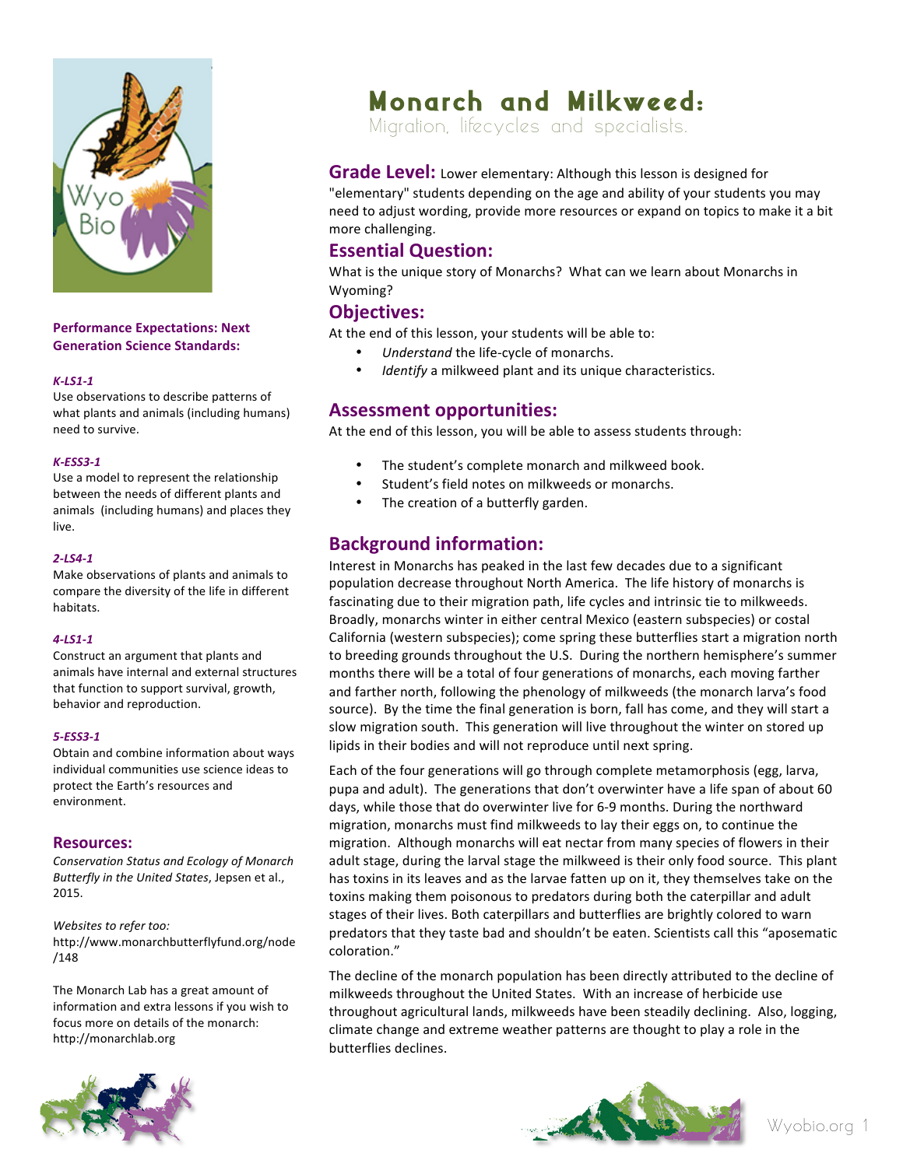

**Performance Expectations: Next Generation Science Standards:**

#### *K-LS1-1*

Use observations to describe patterns of what plants and animals (including humans) need to survive.

#### *K-ESS3-1*

Use a model to represent the relationship between the needs of different plants and animals (including humans) and places they live. 

#### *2-LS4-1*

Make observations of plants and animals to compare the diversity of the life in different habitats.

#### *4-LS1-1*

Construct an argument that plants and animals have internal and external structures that function to support survival, growth, behavior and reproduction.

#### *5-ESS3-1*

Obtain and combine information about ways individual communities use science ideas to protect the Earth's resources and environment.

#### **Resources:**

*Conservation Status and Ecology of Monarch Butterfly in the United States*, Jepsen et al., 2015. 

Websites to refer too: http://www.monarchbutterflyfund.org/node /148 

The Monarch Lab has a great amount of information and extra lessons if you wish to focus more on details of the monarch: http://monarchlab.org

**Monarch and Milkweed:**

Migration, lifecycles and specialists.

**Grade Level:** Lower elementary: Although this lesson is designed for "elementary" students depending on the age and ability of your students you may need to adjust wording, provide more resources or expand on topics to make it a bit more challenging.

#### **Essential Question:**

What is the unique story of Monarchs? What can we learn about Monarchs in Wyoming?

#### **Objectives:**

At the end of this lesson, your students will be able to:

- Understand the life-cycle of monarchs.
- *Identify* a milkweed plant and its unique characteristics.

#### **Assessment opportunities:**

At the end of this lesson, you will be able to assess students through:

- The student's complete monarch and milkweed book.
- Student's field notes on milkweeds or monarchs.
- The creation of a butterfly garden.

#### **Background information:**

Interest in Monarchs has peaked in the last few decades due to a significant population decrease throughout North America. The life history of monarchs is fascinating due to their migration path, life cycles and intrinsic tie to milkweeds. Broadly, monarchs winter in either central Mexico (eastern subspecies) or costal California (western subspecies); come spring these butterflies start a migration north to breeding grounds throughout the U.S. During the northern hemisphere's summer months there will be a total of four generations of monarchs, each moving farther and farther north, following the phenology of milkweeds (the monarch larva's food source). By the time the final generation is born, fall has come, and they will start a slow migration south. This generation will live throughout the winter on stored up lipids in their bodies and will not reproduce until next spring.

Each of the four generations will go through complete metamorphosis (egg, larva, pupa and adult). The generations that don't overwinter have a life span of about 60 days, while those that do overwinter live for 6-9 months. During the northward migration, monarchs must find milkweeds to lay their eggs on, to continue the migration. Although monarchs will eat nectar from many species of flowers in their adult stage, during the larval stage the milkweed is their only food source. This plant has toxins in its leaves and as the larvae fatten up on it, they themselves take on the toxins making them poisonous to predators during both the caterpillar and adult stages of their lives. Both caterpillars and butterflies are brightly colored to warn predators that they taste bad and shouldn't be eaten. Scientists call this "aposematic coloration."

The decline of the monarch population has been directly attributed to the decline of milkweeds throughout the United States. With an increase of herbicide use throughout agricultural lands, milkweeds have been steadily declining. Also, logging, climate change and extreme weather patterns are thought to play a role in the butterflies declines.

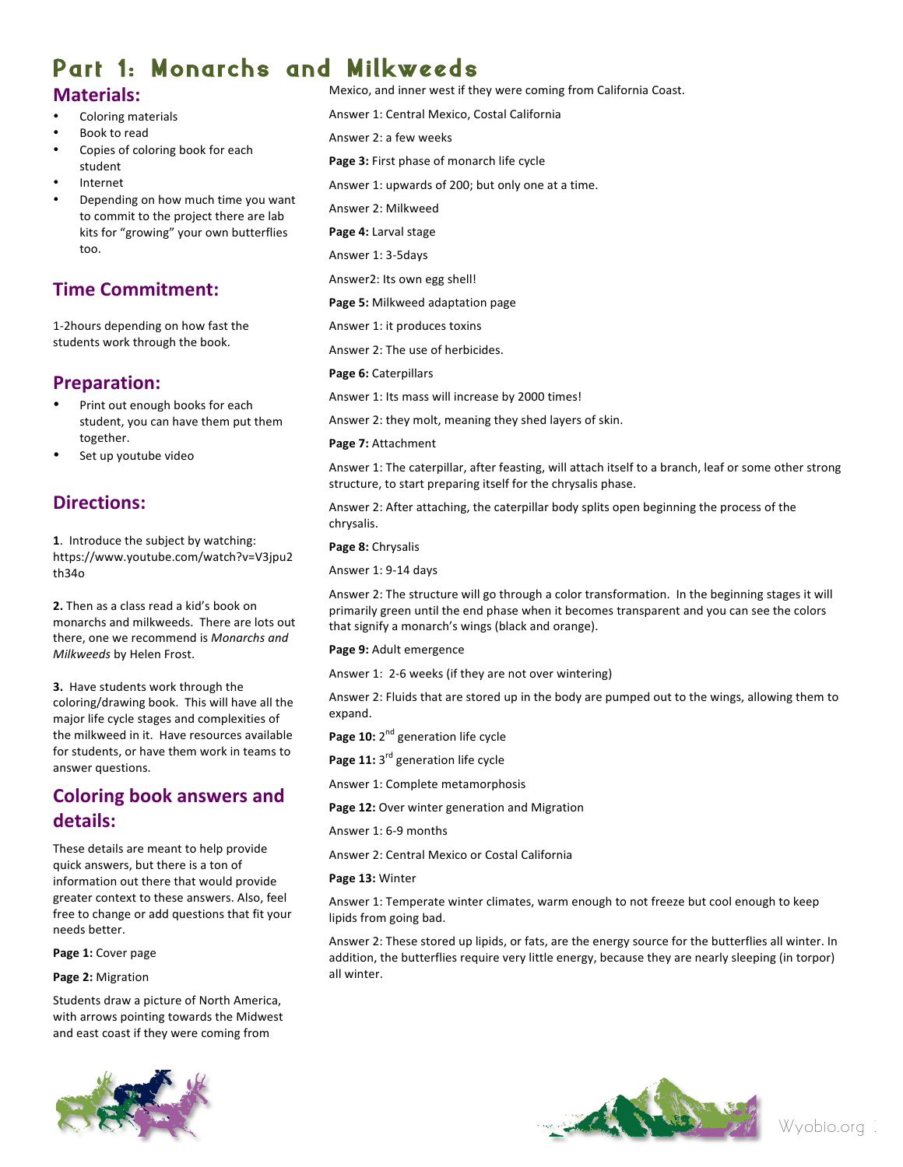# **Part 1: Monarchs and Milkweeds**

### **Materials:**

- Coloring materials
- Book to read
- Copies of coloring book for each student
- **Internet**
- Depending on how much time you want to commit to the project there are lab kits for "growing" your own butterflies too.

### **Time Commitment:**

1-2hours depending on how fast the students work through the book.

### **Preparation:**

- Print out enough books for each student, you can have them put them together.
- Set up youtube video

### **Directions:**

**1.** Introduce the subject by watching: https://www.youtube.com/watch?v=V3jpu2 th34o

**2.** Then as a class read a kid's book on monarchs and milkweeds. There are lots out there, one we recommend is *Monarchs and Milkweeds* by Helen Frost.

**3.** Have students work through the coloring/drawing book. This will have all the major life cycle stages and complexities of the milkweed in it. Have resources available for students, or have them work in teams to answer questions.

## **Coloring book answers and details:**

These details are meant to help provide quick answers, but there is a ton of information out there that would provide greater context to these answers. Also, feel free to change or add questions that fit your needs better.

Page 1: Cover page

**Page 2:** Migration

Students draw a picture of North America, with arrows pointing towards the Midwest and east coast if they were coming from



Mexico, and inner west if they were coming from California Coast.

Answer 1: Central Mexico, Costal California

Answer 2: a few weeks

Page 3: First phase of monarch life cycle

Answer 1: upwards of 200; but only one at a time.

Answer 2: Milkweed

**Page 4:** Larval stage

Answer 1: 3-5days

Answer2: Its own egg shell!

Page 5: Milkweed adaptation page

Answer 1: it produces toxins

Answer 2: The use of herbicides.

Page 6: Caterpillars

Answer 1: Its mass will increase by 2000 times!

Answer 2: they molt, meaning they shed layers of skin.

**Page 7:** Attachment

Answer 1: The caterpillar, after feasting, will attach itself to a branch, leaf or some other strong structure, to start preparing itself for the chrysalis phase.

Answer 2: After attaching, the caterpillar body splits open beginning the process of the chrysalis.

**Page 8:** Chrysalis

Answer 1: 9-14 days

Answer 2: The structure will go through a color transformation. In the beginning stages it will primarily green until the end phase when it becomes transparent and you can see the colors that signify a monarch's wings (black and orange).

Page 9: Adult emergence

Answer 1: 2-6 weeks (if they are not over wintering)

Answer 2: Fluids that are stored up in the body are pumped out to the wings, allowing them to expand.

Page 10: 2<sup>nd</sup> generation life cycle

**Page 11:** 3<sup>rd</sup> generation life cycle

Answer 1: Complete metamorphosis

Page 12: Over winter generation and Migration

Answer 1: 6-9 months

Answer 2: Central Mexico or Costal California

#### **Page 13:** Winter

Answer 1: Temperate winter climates, warm enough to not freeze but cool enough to keep lipids from going bad.

Answer 2: These stored up lipids, or fats, are the energy source for the butterflies all winter. In addition, the butterflies require very little energy, because they are nearly sleeping (in torpor) all winter.

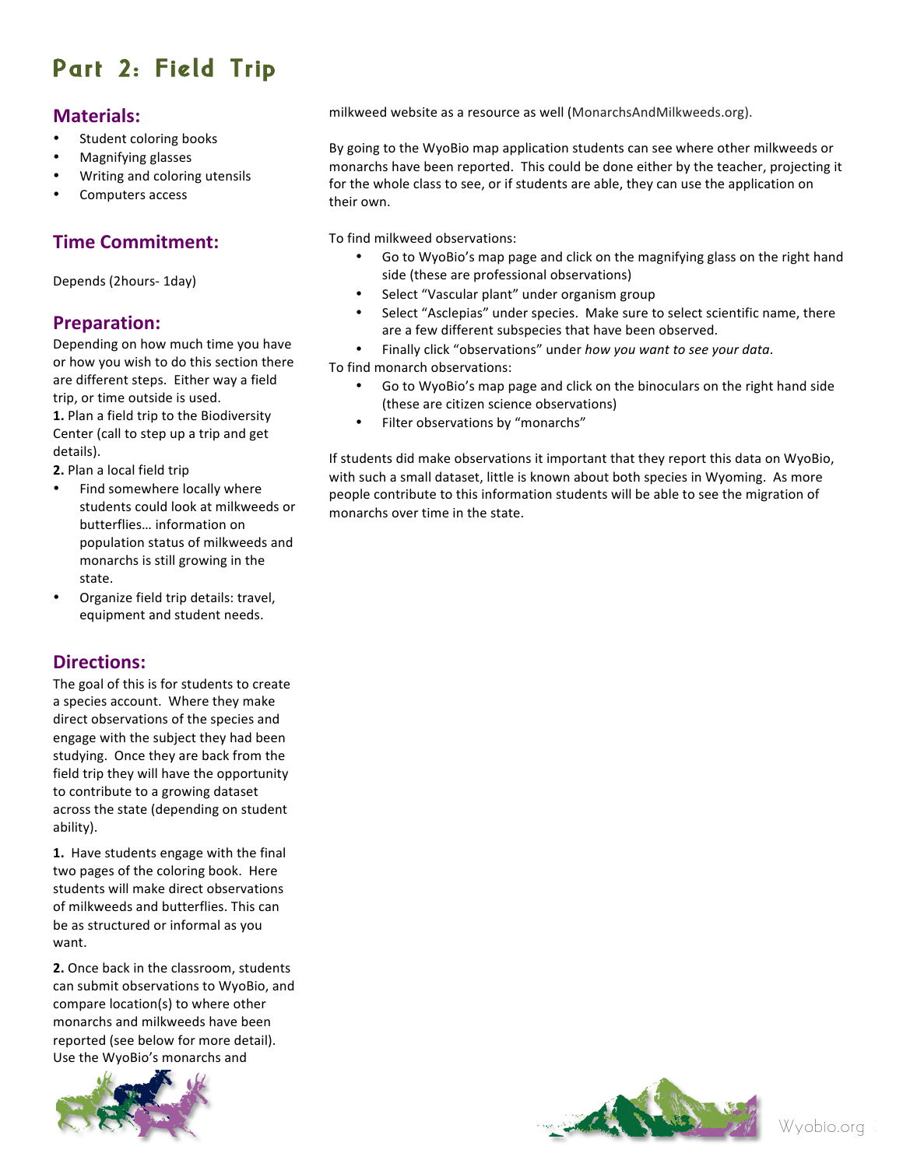# **Part 2: Field Trip**

### **Materials:**

- Student coloring books
- Magnifying glasses
- Writing and coloring utensils
- Computers access

### **Time Commitment:**

Depends (2hours- 1day)

### **Preparation:**

Depending on how much time you have or how you wish to do this section there are different steps. Either way a field trip, or time outside is used.

**1.** Plan a field trip to the Biodiversity Center (call to step up a trip and get details).

**2.** Plan a local field trip

- Find somewhere locally where students could look at milkweeds or butterflies... information on population status of milkweeds and monarchs is still growing in the state.
- Organize field trip details: travel, equipment and student needs.

### **Directions:**

The goal of this is for students to create a species account. Where they make direct observations of the species and engage with the subject they had been studying. Once they are back from the field trip they will have the opportunity to contribute to a growing dataset across the state (depending on student ability).

**1.** Have students engage with the final two pages of the coloring book. Here students will make direct observations of milkweeds and butterflies. This can be as structured or informal as you want. 

**2.** Once back in the classroom, students can submit observations to WyoBio, and compare location(s) to where other monarchs and milkweeds have been reported (see below for more detail). Use the WyoBio's monarchs and



milkweed website as a resource as well (MonarchsAndMilkweeds.org).

By going to the WyoBio map application students can see where other milkweeds or monarchs have been reported. This could be done either by the teacher, projecting it for the whole class to see, or if students are able, they can use the application on their own.

To find milkweed observations:

- Go to WyoBio's map page and click on the magnifying glass on the right hand side (these are professional observations)
- Select "Vascular plant" under organism group
- Select "Asclepias" under species. Make sure to select scientific name, there are a few different subspecies that have been observed.
- Finally click "observations" under how you want to see your data.

To find monarch observations:

- Go to WyoBio's map page and click on the binoculars on the right hand side (these are citizen science observations)
- Filter observations by "monarchs"

If students did make observations it important that they report this data on WyoBio, with such a small dataset, little is known about both species in Wyoming. As more people contribute to this information students will be able to see the migration of monarchs over time in the state.